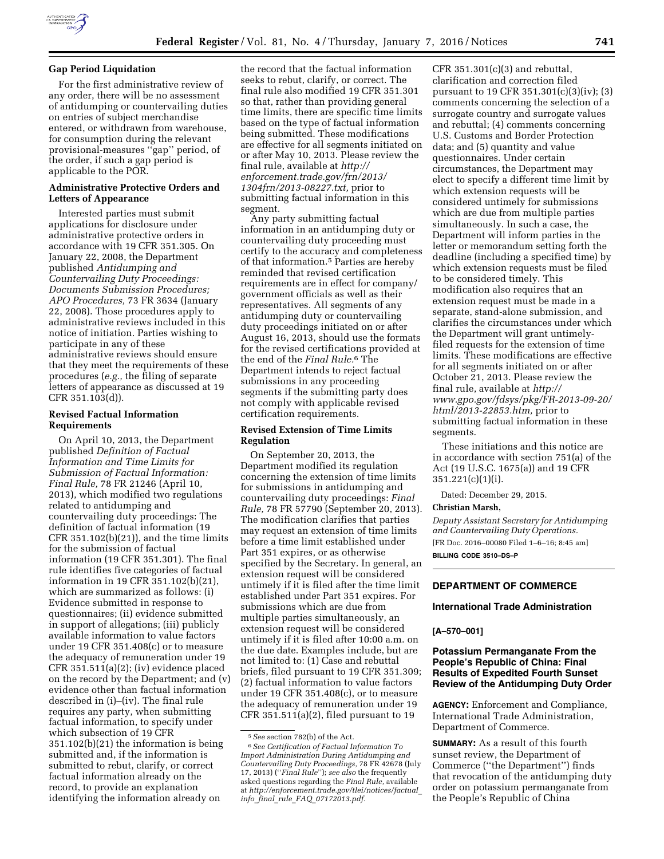

## **Gap Period Liquidation**

For the first administrative review of any order, there will be no assessment of antidumping or countervailing duties on entries of subject merchandise entered, or withdrawn from warehouse, for consumption during the relevant provisional-measures ''gap'' period, of the order, if such a gap period is applicable to the POR.

## **Administrative Protective Orders and Letters of Appearance**

Interested parties must submit applications for disclosure under administrative protective orders in accordance with 19 CFR 351.305. On January 22, 2008, the Department published *Antidumping and Countervailing Duty Proceedings: Documents Submission Procedures; APO Procedures,* 73 FR 3634 (January 22, 2008). Those procedures apply to administrative reviews included in this notice of initiation. Parties wishing to participate in any of these administrative reviews should ensure that they meet the requirements of these procedures (*e.g.,* the filing of separate letters of appearance as discussed at 19 CFR 351.103(d)).

### **Revised Factual Information Requirements**

On April 10, 2013, the Department published *Definition of Factual Information and Time Limits for Submission of Factual Information: Final Rule,* 78 FR 21246 (April 10, 2013), which modified two regulations related to antidumping and countervailing duty proceedings: The definition of factual information (19 CFR 351.102(b)(21)), and the time limits for the submission of factual information (19 CFR 351.301). The final rule identifies five categories of factual information in 19 CFR 351.102(b)(21), which are summarized as follows: (i) Evidence submitted in response to questionnaires; (ii) evidence submitted in support of allegations; (iii) publicly available information to value factors under 19 CFR 351.408(c) or to measure the adequacy of remuneration under 19 CFR 351.511(a)(2); (iv) evidence placed on the record by the Department; and (v) evidence other than factual information described in (i)–(iv). The final rule requires any party, when submitting factual information, to specify under which subsection of 19 CFR 351.102(b)(21) the information is being submitted and, if the information is submitted to rebut, clarify, or correct factual information already on the record, to provide an explanation identifying the information already on

the record that the factual information seeks to rebut, clarify, or correct. The final rule also modified 19 CFR 351.301 so that, rather than providing general time limits, there are specific time limits based on the type of factual information being submitted. These modifications are effective for all segments initiated on or after May 10, 2013. Please review the final rule, available at *[http://](http://enforcement.trade.gov/frn/2013/1304frn/2013-08227.txt) [enforcement.trade.gov/frn/2013/](http://enforcement.trade.gov/frn/2013/1304frn/2013-08227.txt) [1304frn/2013-08227.txt,](http://enforcement.trade.gov/frn/2013/1304frn/2013-08227.txt)* prior to submitting factual information in this segment.

Any party submitting factual information in an antidumping duty or countervailing duty proceeding must certify to the accuracy and completeness of that information.5 Parties are hereby reminded that revised certification requirements are in effect for company/ government officials as well as their representatives. All segments of any antidumping duty or countervailing duty proceedings initiated on or after August 16, 2013, should use the formats for the revised certifications provided at the end of the *Final Rule.*6 The Department intends to reject factual submissions in any proceeding segments if the submitting party does not comply with applicable revised certification requirements.

## **Revised Extension of Time Limits Regulation**

On September 20, 2013, the Department modified its regulation concerning the extension of time limits for submissions in antidumping and countervailing duty proceedings: *Final Rule,* 78 FR 57790 (September 20, 2013). The modification clarifies that parties may request an extension of time limits before a time limit established under Part 351 expires, or as otherwise specified by the Secretary. In general, an extension request will be considered untimely if it is filed after the time limit established under Part 351 expires. For submissions which are due from multiple parties simultaneously, an extension request will be considered untimely if it is filed after 10:00 a.m. on the due date. Examples include, but are not limited to: (1) Case and rebuttal briefs, filed pursuant to 19 CFR 351.309; (2) factual information to value factors under 19 CFR 351.408(c), or to measure the adequacy of remuneration under 19 CFR 351.511(a)(2), filed pursuant to 19

CFR  $351.301(c)(3)$  and rebuttal, clarification and correction filed pursuant to 19 CFR 351.301(c)(3)(iv); (3) comments concerning the selection of a surrogate country and surrogate values and rebuttal; (4) comments concerning U.S. Customs and Border Protection data; and (5) quantity and value questionnaires. Under certain circumstances, the Department may elect to specify a different time limit by which extension requests will be considered untimely for submissions which are due from multiple parties simultaneously. In such a case, the Department will inform parties in the letter or memorandum setting forth the deadline (including a specified time) by which extension requests must be filed to be considered timely. This modification also requires that an extension request must be made in a separate, stand-alone submission, and clarifies the circumstances under which the Department will grant untimelyfiled requests for the extension of time limits. These modifications are effective for all segments initiated on or after October 21, 2013. Please review the final rule, available at *[http://](http://www.gpo.gov/fdsys/pkg/FR-2013-09-20/html/2013-22853.htm) [www.gpo.gov/fdsys/pkg/FR-2013-09-20/](http://www.gpo.gov/fdsys/pkg/FR-2013-09-20/html/2013-22853.htm) [html/2013-22853.htm,](http://www.gpo.gov/fdsys/pkg/FR-2013-09-20/html/2013-22853.htm)* prior to submitting factual information in these segments.

These initiations and this notice are in accordance with section 751(a) of the Act (19 U.S.C. 1675(a)) and 19 CFR 351.221(c)(1)(i).

Dated: December 29, 2015.

#### **Christian Marsh,**

*Deputy Assistant Secretary for Antidumping and Countervailing Duty Operations.*  [FR Doc. 2016–00080 Filed 1–6–16; 8:45 am] **BILLING CODE 3510–DS–P** 

# **DEPARTMENT OF COMMERCE**

## **International Trade Administration**

**[A–570–001]** 

## **Potassium Permanganate From the People's Republic of China: Final Results of Expedited Fourth Sunset Review of the Antidumping Duty Order**

**AGENCY:** Enforcement and Compliance, International Trade Administration, Department of Commerce.

**SUMMARY:** As a result of this fourth sunset review, the Department of Commerce (''the Department'') finds that revocation of the antidumping duty order on potassium permanganate from the People's Republic of China

<sup>5</sup>*See* section 782(b) of the Act.

<sup>6</sup>*See Certification of Factual Information To Import Administration During Antidumping and Countervailing Duty Proceedings,* 78 FR 42678 (July 17, 2013) (''*Final Rule*''); *see also* the frequently asked questions regarding the *Final Rule,* available at *[http://enforcement.trade.gov/tlei/notices/factual](http://enforcement.trade.gov/tlei/notices/factual_info_final_rule_FAQ_07172013.pdf)*\_ *info*\_*final*\_*rule*\_*FAQ*\_*[07172013.pdf.](http://enforcement.trade.gov/tlei/notices/factual_info_final_rule_FAQ_07172013.pdf)*